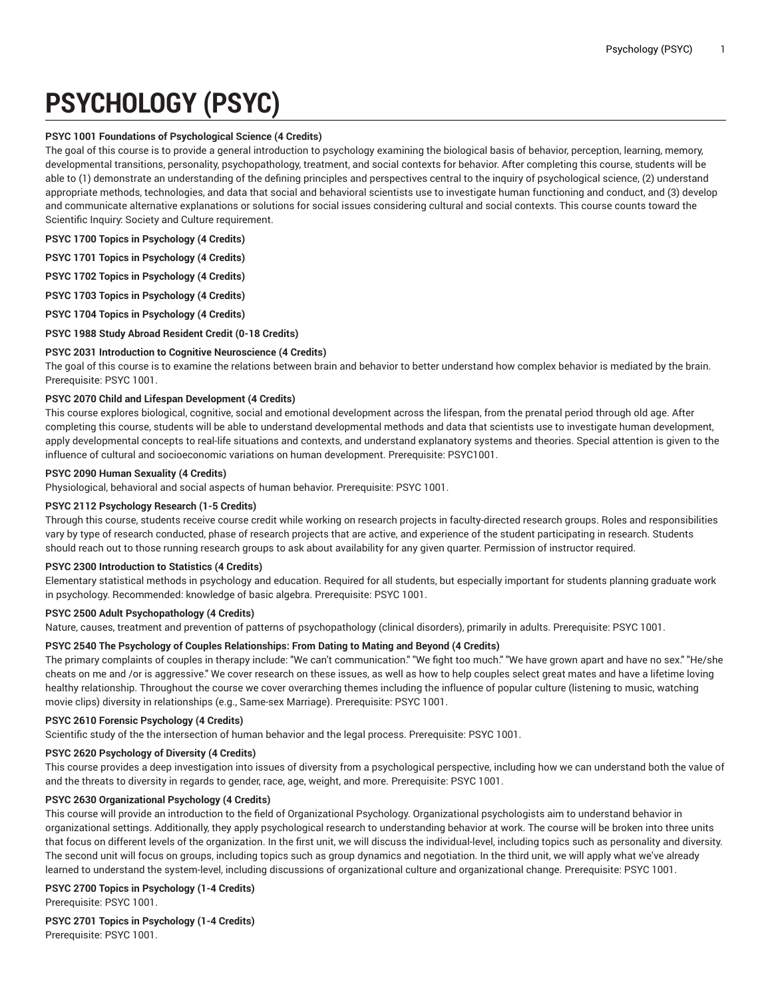# **PSYCHOLOGY (PSYC)**

## **PSYC 1001 Foundations of Psychological Science (4 Credits)**

The goal of this course is to provide a general introduction to psychology examining the biological basis of behavior, perception, learning, memory, developmental transitions, personality, psychopathology, treatment, and social contexts for behavior. After completing this course, students will be able to (1) demonstrate an understanding of the defining principles and perspectives central to the inquiry of psychological science, (2) understand appropriate methods, technologies, and data that social and behavioral scientists use to investigate human functioning and conduct, and (3) develop and communicate alternative explanations or solutions for social issues considering cultural and social contexts. This course counts toward the Scientific Inquiry: Society and Culture requirement.

**PSYC 1700 Topics in Psychology (4 Credits)**

**PSYC 1701 Topics in Psychology (4 Credits)**

**PSYC 1702 Topics in Psychology (4 Credits)**

**PSYC 1703 Topics in Psychology (4 Credits)**

**PSYC 1704 Topics in Psychology (4 Credits)**

**PSYC 1988 Study Abroad Resident Credit (0-18 Credits)**

## **PSYC 2031 Introduction to Cognitive Neuroscience (4 Credits)**

The goal of this course is to examine the relations between brain and behavior to better understand how complex behavior is mediated by the brain. Prerequisite: PSYC 1001.

#### **PSYC 2070 Child and Lifespan Development (4 Credits)**

This course explores biological, cognitive, social and emotional development across the lifespan, from the prenatal period through old age. After completing this course, students will be able to understand developmental methods and data that scientists use to investigate human development, apply developmental concepts to real-life situations and contexts, and understand explanatory systems and theories. Special attention is given to the influence of cultural and socioeconomic variations on human development. Prerequisite: PSYC1001.

#### **PSYC 2090 Human Sexuality (4 Credits)**

Physiological, behavioral and social aspects of human behavior. Prerequisite: PSYC 1001.

# **PSYC 2112 Psychology Research (1-5 Credits)**

Through this course, students receive course credit while working on research projects in faculty-directed research groups. Roles and responsibilities vary by type of research conducted, phase of research projects that are active, and experience of the student participating in research. Students should reach out to those running research groups to ask about availability for any given quarter. Permission of instructor required.

## **PSYC 2300 Introduction to Statistics (4 Credits)**

Elementary statistical methods in psychology and education. Required for all students, but especially important for students planning graduate work in psychology. Recommended: knowledge of basic algebra. Prerequisite: PSYC 1001.

## **PSYC 2500 Adult Psychopathology (4 Credits)**

Nature, causes, treatment and prevention of patterns of psychopathology (clinical disorders), primarily in adults. Prerequisite: PSYC 1001.

## **PSYC 2540 The Psychology of Couples Relationships: From Dating to Mating and Beyond (4 Credits)**

The primary complaints of couples in therapy include: "We can't communication." "We fight too much." "We have grown apart and have no sex." "He/she cheats on me and /or is aggressive." We cover research on these issues, as well as how to help couples select great mates and have a lifetime loving healthy relationship. Throughout the course we cover overarching themes including the influence of popular culture (listening to music, watching movie clips) diversity in relationships (e.g., Same-sex Marriage). Prerequisite: PSYC 1001.

# **PSYC 2610 Forensic Psychology (4 Credits)**

Scientific study of the the intersection of human behavior and the legal process. Prerequisite: PSYC 1001.

## **PSYC 2620 Psychology of Diversity (4 Credits)**

This course provides a deep investigation into issues of diversity from a psychological perspective, including how we can understand both the value of and the threats to diversity in regards to gender, race, age, weight, and more. Prerequisite: PSYC 1001.

## **PSYC 2630 Organizational Psychology (4 Credits)**

This course will provide an introduction to the field of Organizational Psychology. Organizational psychologists aim to understand behavior in organizational settings. Additionally, they apply psychological research to understanding behavior at work. The course will be broken into three units that focus on different levels of the organization. In the first unit, we will discuss the individual-level, including topics such as personality and diversity. The second unit will focus on groups, including topics such as group dynamics and negotiation. In the third unit, we will apply what we've already learned to understand the system-level, including discussions of organizational culture and organizational change. Prerequisite: PSYC 1001.

## **PSYC 2700 Topics in Psychology (1-4 Credits)**

Prerequisite: PSYC 1001.

**PSYC 2701 Topics in Psychology (1-4 Credits)** Prerequisite: PSYC 1001.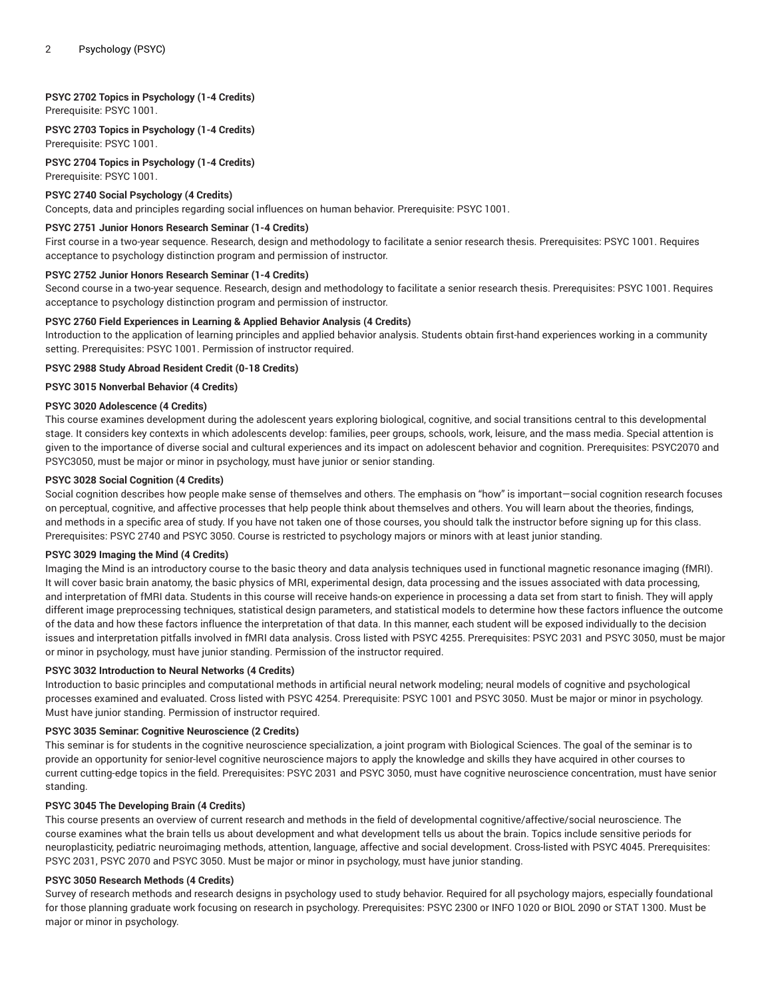# **PSYC 2702 Topics in Psychology (1-4 Credits)**

Prerequisite: PSYC 1001.

**PSYC 2703 Topics in Psychology (1-4 Credits)** Prerequisite: PSYC 1001.

**PSYC 2704 Topics in Psychology (1-4 Credits)** Prerequisite: PSYC 1001.

## **PSYC 2740 Social Psychology (4 Credits)**

Concepts, data and principles regarding social influences on human behavior. Prerequisite: PSYC 1001.

#### **PSYC 2751 Junior Honors Research Seminar (1-4 Credits)**

First course in a two-year sequence. Research, design and methodology to facilitate a senior research thesis. Prerequisites: PSYC 1001. Requires acceptance to psychology distinction program and permission of instructor.

#### **PSYC 2752 Junior Honors Research Seminar (1-4 Credits)**

Second course in a two-year sequence. Research, design and methodology to facilitate a senior research thesis. Prerequisites: PSYC 1001. Requires acceptance to psychology distinction program and permission of instructor.

#### **PSYC 2760 Field Experiences in Learning & Applied Behavior Analysis (4 Credits)**

Introduction to the application of learning principles and applied behavior analysis. Students obtain first-hand experiences working in a community setting. Prerequisites: PSYC 1001. Permission of instructor required.

#### **PSYC 2988 Study Abroad Resident Credit (0-18 Credits)**

## **PSYC 3015 Nonverbal Behavior (4 Credits)**

#### **PSYC 3020 Adolescence (4 Credits)**

This course examines development during the adolescent years exploring biological, cognitive, and social transitions central to this developmental stage. It considers key contexts in which adolescents develop: families, peer groups, schools, work, leisure, and the mass media. Special attention is given to the importance of diverse social and cultural experiences and its impact on adolescent behavior and cognition. Prerequisites: PSYC2070 and PSYC3050, must be major or minor in psychology, must have junior or senior standing.

#### **PSYC 3028 Social Cognition (4 Credits)**

Social cognition describes how people make sense of themselves and others. The emphasis on "how" is important—social cognition research focuses on perceptual, cognitive, and affective processes that help people think about themselves and others. You will learn about the theories, findings, and methods in a specific area of study. If you have not taken one of those courses, you should talk the instructor before signing up for this class. Prerequisites: PSYC 2740 and PSYC 3050. Course is restricted to psychology majors or minors with at least junior standing.

#### **PSYC 3029 Imaging the Mind (4 Credits)**

Imaging the Mind is an introductory course to the basic theory and data analysis techniques used in functional magnetic resonance imaging (fMRI). It will cover basic brain anatomy, the basic physics of MRI, experimental design, data processing and the issues associated with data processing, and interpretation of fMRI data. Students in this course will receive hands-on experience in processing a data set from start to finish. They will apply different image preprocessing techniques, statistical design parameters, and statistical models to determine how these factors influence the outcome of the data and how these factors influence the interpretation of that data. In this manner, each student will be exposed individually to the decision issues and interpretation pitfalls involved in fMRI data analysis. Cross listed with PSYC 4255. Prerequisites: PSYC 2031 and PSYC 3050, must be major or minor in psychology, must have junior standing. Permission of the instructor required.

#### **PSYC 3032 Introduction to Neural Networks (4 Credits)**

Introduction to basic principles and computational methods in artificial neural network modeling; neural models of cognitive and psychological processes examined and evaluated. Cross listed with PSYC 4254. Prerequisite: PSYC 1001 and PSYC 3050. Must be major or minor in psychology. Must have junior standing. Permission of instructor required.

## **PSYC 3035 Seminar: Cognitive Neuroscience (2 Credits)**

This seminar is for students in the cognitive neuroscience specialization, a joint program with Biological Sciences. The goal of the seminar is to provide an opportunity for senior-level cognitive neuroscience majors to apply the knowledge and skills they have acquired in other courses to current cutting-edge topics in the field. Prerequisites: PSYC 2031 and PSYC 3050, must have cognitive neuroscience concentration, must have senior standing.

## **PSYC 3045 The Developing Brain (4 Credits)**

This course presents an overview of current research and methods in the field of developmental cognitive/affective/social neuroscience. The course examines what the brain tells us about development and what development tells us about the brain. Topics include sensitive periods for neuroplasticity, pediatric neuroimaging methods, attention, language, affective and social development. Cross-listed with PSYC 4045. Prerequisites: PSYC 2031, PSYC 2070 and PSYC 3050. Must be major or minor in psychology, must have junior standing.

## **PSYC 3050 Research Methods (4 Credits)**

Survey of research methods and research designs in psychology used to study behavior. Required for all psychology majors, especially foundational for those planning graduate work focusing on research in psychology. Prerequisites: PSYC 2300 or INFO 1020 or BIOL 2090 or STAT 1300. Must be major or minor in psychology.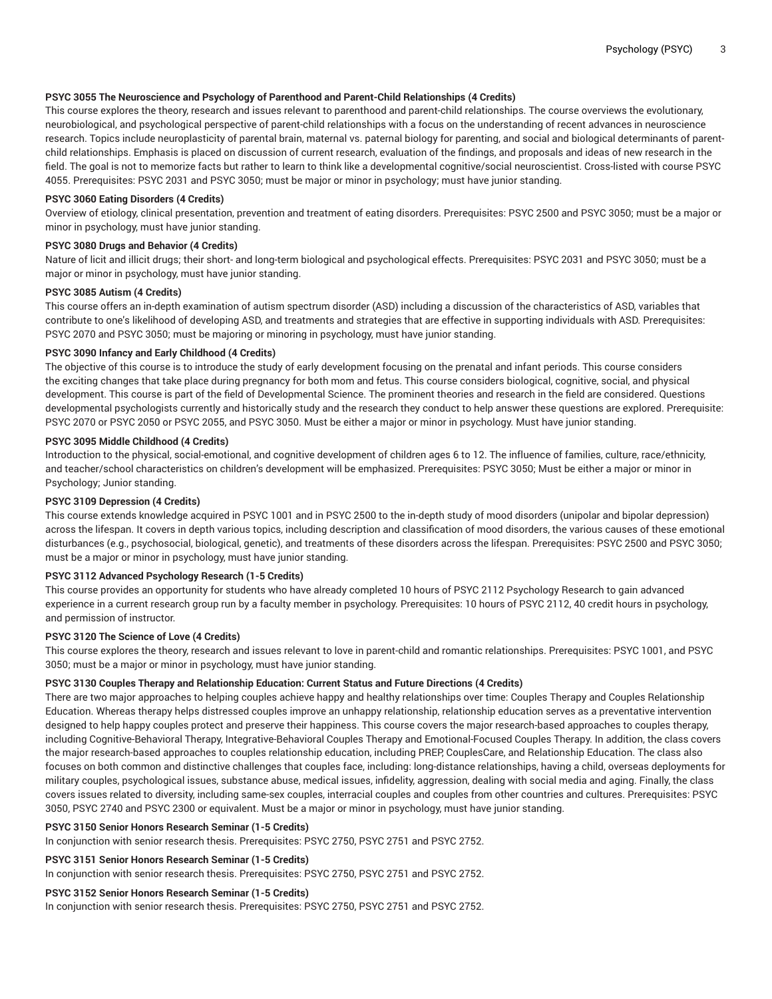## **PSYC 3055 The Neuroscience and Psychology of Parenthood and Parent-Child Relationships (4 Credits)**

This course explores the theory, research and issues relevant to parenthood and parent-child relationships. The course overviews the evolutionary, neurobiological, and psychological perspective of parent-child relationships with a focus on the understanding of recent advances in neuroscience research. Topics include neuroplasticity of parental brain, maternal vs. paternal biology for parenting, and social and biological determinants of parentchild relationships. Emphasis is placed on discussion of current research, evaluation of the findings, and proposals and ideas of new research in the field. The goal is not to memorize facts but rather to learn to think like a developmental cognitive/social neuroscientist. Cross-listed with course PSYC 4055. Prerequisites: PSYC 2031 and PSYC 3050; must be major or minor in psychology; must have junior standing.

## **PSYC 3060 Eating Disorders (4 Credits)**

Overview of etiology, clinical presentation, prevention and treatment of eating disorders. Prerequisites: PSYC 2500 and PSYC 3050; must be a major or minor in psychology, must have junior standing.

#### **PSYC 3080 Drugs and Behavior (4 Credits)**

Nature of licit and illicit drugs; their short- and long-term biological and psychological effects. Prerequisites: PSYC 2031 and PSYC 3050; must be a major or minor in psychology, must have junior standing.

#### **PSYC 3085 Autism (4 Credits)**

This course offers an in-depth examination of autism spectrum disorder (ASD) including a discussion of the characteristics of ASD, variables that contribute to one's likelihood of developing ASD, and treatments and strategies that are effective in supporting individuals with ASD. Prerequisites: PSYC 2070 and PSYC 3050; must be majoring or minoring in psychology, must have junior standing.

#### **PSYC 3090 Infancy and Early Childhood (4 Credits)**

The objective of this course is to introduce the study of early development focusing on the prenatal and infant periods. This course considers the exciting changes that take place during pregnancy for both mom and fetus. This course considers biological, cognitive, social, and physical development. This course is part of the field of Developmental Science. The prominent theories and research in the field are considered. Questions developmental psychologists currently and historically study and the research they conduct to help answer these questions are explored. Prerequisite: PSYC 2070 or PSYC 2050 or PSYC 2055, and PSYC 3050. Must be either a major or minor in psychology. Must have junior standing.

#### **PSYC 3095 Middle Childhood (4 Credits)**

Introduction to the physical, social-emotional, and cognitive development of children ages 6 to 12. The influence of families, culture, race/ethnicity, and teacher/school characteristics on children's development will be emphasized. Prerequisites: PSYC 3050; Must be either a major or minor in Psychology; Junior standing.

## **PSYC 3109 Depression (4 Credits)**

This course extends knowledge acquired in PSYC 1001 and in PSYC 2500 to the in-depth study of mood disorders (unipolar and bipolar depression) across the lifespan. It covers in depth various topics, including description and classification of mood disorders, the various causes of these emotional disturbances (e.g., psychosocial, biological, genetic), and treatments of these disorders across the lifespan. Prerequisites: PSYC 2500 and PSYC 3050; must be a major or minor in psychology, must have junior standing.

## **PSYC 3112 Advanced Psychology Research (1-5 Credits)**

This course provides an opportunity for students who have already completed 10 hours of PSYC 2112 Psychology Research to gain advanced experience in a current research group run by a faculty member in psychology. Prerequisites: 10 hours of PSYC 2112, 40 credit hours in psychology, and permission of instructor.

## **PSYC 3120 The Science of Love (4 Credits)**

This course explores the theory, research and issues relevant to love in parent-child and romantic relationships. Prerequisites: PSYC 1001, and PSYC 3050; must be a major or minor in psychology, must have junior standing.

## **PSYC 3130 Couples Therapy and Relationship Education: Current Status and Future Directions (4 Credits)**

There are two major approaches to helping couples achieve happy and healthy relationships over time: Couples Therapy and Couples Relationship Education. Whereas therapy helps distressed couples improve an unhappy relationship, relationship education serves as a preventative intervention designed to help happy couples protect and preserve their happiness. This course covers the major research-based approaches to couples therapy, including Cognitive-Behavioral Therapy, Integrative-Behavioral Couples Therapy and Emotional-Focused Couples Therapy. In addition, the class covers the major research-based approaches to couples relationship education, including PREP, CouplesCare, and Relationship Education. The class also focuses on both common and distinctive challenges that couples face, including: long-distance relationships, having a child, overseas deployments for military couples, psychological issues, substance abuse, medical issues, infidelity, aggression, dealing with social media and aging. Finally, the class covers issues related to diversity, including same-sex couples, interracial couples and couples from other countries and cultures. Prerequisites: PSYC 3050, PSYC 2740 and PSYC 2300 or equivalent. Must be a major or minor in psychology, must have junior standing.

#### **PSYC 3150 Senior Honors Research Seminar (1-5 Credits)**

In conjunction with senior research thesis. Prerequisites: PSYC 2750, PSYC 2751 and PSYC 2752.

## **PSYC 3151 Senior Honors Research Seminar (1-5 Credits)**

In conjunction with senior research thesis. Prerequisites: PSYC 2750, PSYC 2751 and PSYC 2752.

## **PSYC 3152 Senior Honors Research Seminar (1-5 Credits)**

In conjunction with senior research thesis. Prerequisites: PSYC 2750, PSYC 2751 and PSYC 2752.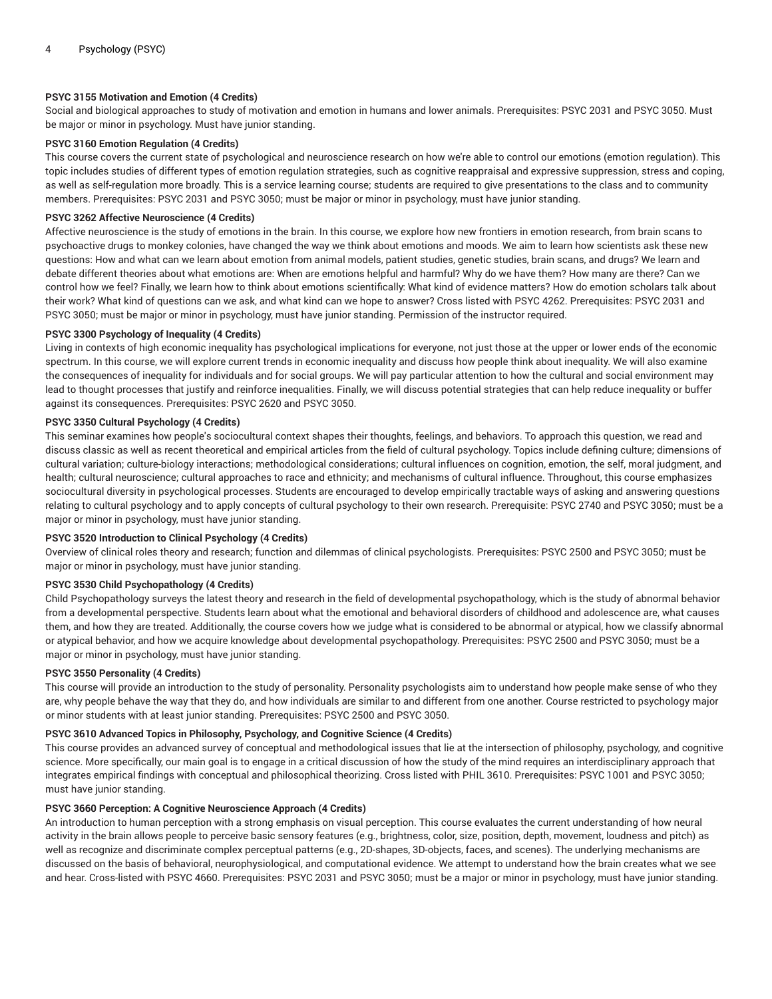# **PSYC 3155 Motivation and Emotion (4 Credits)**

Social and biological approaches to study of motivation and emotion in humans and lower animals. Prerequisites: PSYC 2031 and PSYC 3050. Must be major or minor in psychology. Must have junior standing.

# **PSYC 3160 Emotion Regulation (4 Credits)**

This course covers the current state of psychological and neuroscience research on how we're able to control our emotions (emotion regulation). This topic includes studies of different types of emotion regulation strategies, such as cognitive reappraisal and expressive suppression, stress and coping, as well as self-regulation more broadly. This is a service learning course; students are required to give presentations to the class and to community members. Prerequisites: PSYC 2031 and PSYC 3050; must be major or minor in psychology, must have junior standing.

#### **PSYC 3262 Affective Neuroscience (4 Credits)**

Affective neuroscience is the study of emotions in the brain. In this course, we explore how new frontiers in emotion research, from brain scans to psychoactive drugs to monkey colonies, have changed the way we think about emotions and moods. We aim to learn how scientists ask these new questions: How and what can we learn about emotion from animal models, patient studies, genetic studies, brain scans, and drugs? We learn and debate different theories about what emotions are: When are emotions helpful and harmful? Why do we have them? How many are there? Can we control how we feel? Finally, we learn how to think about emotions scientifically: What kind of evidence matters? How do emotion scholars talk about their work? What kind of questions can we ask, and what kind can we hope to answer? Cross listed with PSYC 4262. Prerequisites: PSYC 2031 and PSYC 3050; must be major or minor in psychology, must have junior standing. Permission of the instructor required.

#### **PSYC 3300 Psychology of Inequality (4 Credits)**

Living in contexts of high economic inequality has psychological implications for everyone, not just those at the upper or lower ends of the economic spectrum. In this course, we will explore current trends in economic inequality and discuss how people think about inequality. We will also examine the consequences of inequality for individuals and for social groups. We will pay particular attention to how the cultural and social environment may lead to thought processes that justify and reinforce inequalities. Finally, we will discuss potential strategies that can help reduce inequality or buffer against its consequences. Prerequisites: PSYC 2620 and PSYC 3050.

#### **PSYC 3350 Cultural Psychology (4 Credits)**

This seminar examines how people's sociocultural context shapes their thoughts, feelings, and behaviors. To approach this question, we read and discuss classic as well as recent theoretical and empirical articles from the field of cultural psychology. Topics include defining culture; dimensions of cultural variation; culture-biology interactions; methodological considerations; cultural influences on cognition, emotion, the self, moral judgment, and health; cultural neuroscience; cultural approaches to race and ethnicity; and mechanisms of cultural influence. Throughout, this course emphasizes sociocultural diversity in psychological processes. Students are encouraged to develop empirically tractable ways of asking and answering questions relating to cultural psychology and to apply concepts of cultural psychology to their own research. Prerequisite: PSYC 2740 and PSYC 3050; must be a major or minor in psychology, must have junior standing.

#### **PSYC 3520 Introduction to Clinical Psychology (4 Credits)**

Overview of clinical roles theory and research; function and dilemmas of clinical psychologists. Prerequisites: PSYC 2500 and PSYC 3050; must be major or minor in psychology, must have junior standing.

## **PSYC 3530 Child Psychopathology (4 Credits)**

Child Psychopathology surveys the latest theory and research in the field of developmental psychopathology, which is the study of abnormal behavior from a developmental perspective. Students learn about what the emotional and behavioral disorders of childhood and adolescence are, what causes them, and how they are treated. Additionally, the course covers how we judge what is considered to be abnormal or atypical, how we classify abnormal or atypical behavior, and how we acquire knowledge about developmental psychopathology. Prerequisites: PSYC 2500 and PSYC 3050; must be a major or minor in psychology, must have junior standing.

# **PSYC 3550 Personality (4 Credits)**

This course will provide an introduction to the study of personality. Personality psychologists aim to understand how people make sense of who they are, why people behave the way that they do, and how individuals are similar to and different from one another. Course restricted to psychology major or minor students with at least junior standing. Prerequisites: PSYC 2500 and PSYC 3050.

## **PSYC 3610 Advanced Topics in Philosophy, Psychology, and Cognitive Science (4 Credits)**

This course provides an advanced survey of conceptual and methodological issues that lie at the intersection of philosophy, psychology, and cognitive science. More specifically, our main goal is to engage in a critical discussion of how the study of the mind requires an interdisciplinary approach that integrates empirical findings with conceptual and philosophical theorizing. Cross listed with PHIL 3610. Prerequisites: PSYC 1001 and PSYC 3050; must have junior standing.

## **PSYC 3660 Perception: A Cognitive Neuroscience Approach (4 Credits)**

An introduction to human perception with a strong emphasis on visual perception. This course evaluates the current understanding of how neural activity in the brain allows people to perceive basic sensory features (e.g., brightness, color, size, position, depth, movement, loudness and pitch) as well as recognize and discriminate complex perceptual patterns (e.g., 2D-shapes, 3D-objects, faces, and scenes). The underlying mechanisms are discussed on the basis of behavioral, neurophysiological, and computational evidence. We attempt to understand how the brain creates what we see and hear. Cross-listed with PSYC 4660. Prerequisites: PSYC 2031 and PSYC 3050; must be a major or minor in psychology, must have junior standing.